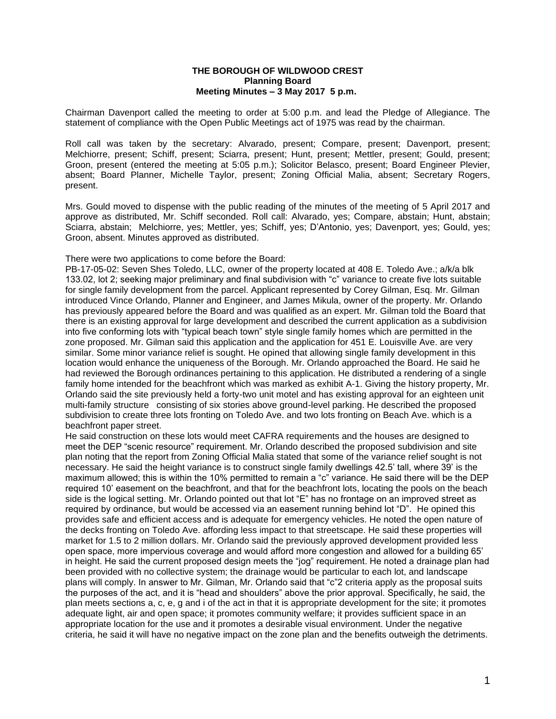## **THE BOROUGH OF WILDWOOD CREST Planning Board Meeting Minutes – 3 May 2017 5 p.m.**

Chairman Davenport called the meeting to order at 5:00 p.m. and lead the Pledge of Allegiance. The statement of compliance with the Open Public Meetings act of 1975 was read by the chairman.

Roll call was taken by the secretary: Alvarado, present; Compare, present; Davenport, present; Melchiorre, present; Schiff, present; Sciarra, present; Hunt, present; Mettler, present; Gould, present; Groon, present (entered the meeting at 5:05 p.m.); Solicitor Belasco, present; Board Engineer Plevier, absent; Board Planner, Michelle Taylor, present; Zoning Official Malia, absent; Secretary Rogers, present.

Mrs. Gould moved to dispense with the public reading of the minutes of the meeting of 5 April 2017 and approve as distributed, Mr. Schiff seconded. Roll call: Alvarado, yes; Compare, abstain; Hunt, abstain; Sciarra, abstain; Melchiorre, yes; Mettler, yes; Schiff, yes; D'Antonio, yes; Davenport, yes; Gould, yes; Groon, absent. Minutes approved as distributed.

There were two applications to come before the Board:

PB-17-05-02: Seven Shes Toledo, LLC, owner of the property located at 408 E. Toledo Ave.; a/k/a blk 133.02, lot 2; seeking major preliminary and final subdivision with "c" variance to create five lots suitable for single family development from the parcel. Applicant represented by Corey Gilman, Esq. Mr. Gilman introduced Vince Orlando, Planner and Engineer, and James Mikula, owner of the property. Mr. Orlando has previously appeared before the Board and was qualified as an expert. Mr. Gilman told the Board that there is an existing approval for large development and described the current application as a subdivision into five conforming lots with "typical beach town" style single family homes which are permitted in the zone proposed. Mr. Gilman said this application and the application for 451 E. Louisville Ave. are very similar. Some minor variance relief is sought. He opined that allowing single family development in this location would enhance the uniqueness of the Borough. Mr. Orlando approached the Board. He said he had reviewed the Borough ordinances pertaining to this application. He distributed a rendering of a single family home intended for the beachfront which was marked as exhibit A-1. Giving the history property, Mr. Orlando said the site previously held a forty-two unit motel and has existing approval for an eighteen unit multi-family structure consisting of six stories above ground-level parking. He described the proposed subdivision to create three lots fronting on Toledo Ave. and two lots fronting on Beach Ave. which is a beachfront paper street.

He said construction on these lots would meet CAFRA requirements and the houses are designed to meet the DEP "scenic resource" requirement. Mr. Orlando described the proposed subdivision and site plan noting that the report from Zoning Official Malia stated that some of the variance relief sought is not necessary. He said the height variance is to construct single family dwellings 42.5' tall, where 39' is the maximum allowed; this is within the 10% permitted to remain a "c" variance. He said there will be the DEP required 10' easement on the beachfront, and that for the beachfront lots, locating the pools on the beach side is the logical setting. Mr. Orlando pointed out that lot "E" has no frontage on an improved street as required by ordinance, but would be accessed via an easement running behind lot "D". He opined this provides safe and efficient access and is adequate for emergency vehicles. He noted the open nature of the decks fronting on Toledo Ave. affording less impact to that streetscape. He said these properties will market for 1.5 to 2 million dollars. Mr. Orlando said the previously approved development provided less open space, more impervious coverage and would afford more congestion and allowed for a building 65' in height. He said the current proposed design meets the "jog" requirement. He noted a drainage plan had been provided with no collective system; the drainage would be particular to each lot, and landscape plans will comply. In answer to Mr. Gilman, Mr. Orlando said that "c"2 criteria apply as the proposal suits the purposes of the act, and it is "head and shoulders" above the prior approval. Specifically, he said, the plan meets sections a, c, e, g and i of the act in that it is appropriate development for the site; it promotes adequate light, air and open space; it promotes community welfare; it provides sufficient space in an appropriate location for the use and it promotes a desirable visual environment. Under the negative criteria, he said it will have no negative impact on the zone plan and the benefits outweigh the detriments.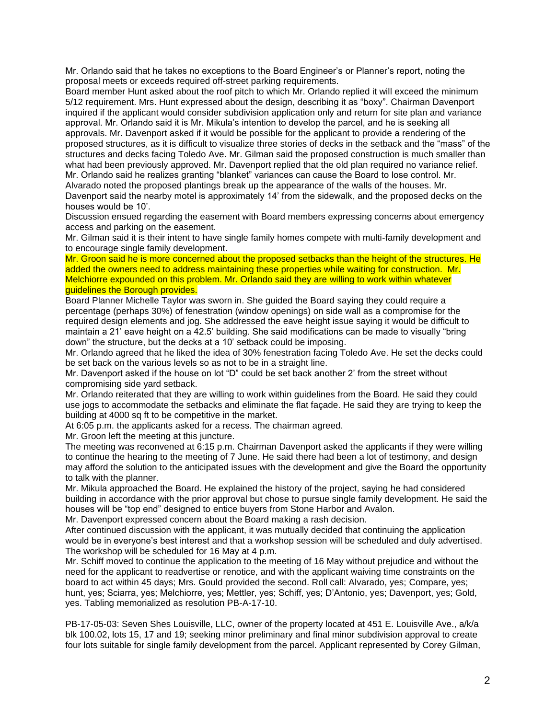Mr. Orlando said that he takes no exceptions to the Board Engineer's or Planner's report, noting the proposal meets or exceeds required off-street parking requirements.

Board member Hunt asked about the roof pitch to which Mr. Orlando replied it will exceed the minimum 5/12 requirement. Mrs. Hunt expressed about the design, describing it as "boxy". Chairman Davenport inquired if the applicant would consider subdivision application only and return for site plan and variance approval. Mr. Orlando said it is Mr. Mikula's intention to develop the parcel, and he is seeking all approvals. Mr. Davenport asked if it would be possible for the applicant to provide a rendering of the proposed structures, as it is difficult to visualize three stories of decks in the setback and the "mass" of the structures and decks facing Toledo Ave. Mr. Gilman said the proposed construction is much smaller than what had been previously approved. Mr. Davenport replied that the old plan required no variance relief. Mr. Orlando said he realizes granting "blanket" variances can cause the Board to lose control. Mr.

Alvarado noted the proposed plantings break up the appearance of the walls of the houses. Mr. Davenport said the nearby motel is approximately 14' from the sidewalk, and the proposed decks on the houses would be 10'.

Discussion ensued regarding the easement with Board members expressing concerns about emergency access and parking on the easement.

Mr. Gilman said it is their intent to have single family homes compete with multi-family development and to encourage single family development.

Mr. Groon said he is more concerned about the proposed setbacks than the height of the structures. He added the owners need to address maintaining these properties while waiting for construction. Mr. Melchiorre expounded on this problem. Mr. Orlando said they are willing to work within whatever guidelines the Borough provides.

Board Planner Michelle Taylor was sworn in. She guided the Board saying they could require a percentage (perhaps 30%) of fenestration (window openings) on side wall as a compromise for the required design elements and jog. She addressed the eave height issue saying it would be difficult to maintain a 21' eave height on a 42.5' building. She said modifications can be made to visually "bring down" the structure, but the decks at a 10' setback could be imposing.

Mr. Orlando agreed that he liked the idea of 30% fenestration facing Toledo Ave. He set the decks could be set back on the various levels so as not to be in a straight line.

Mr. Davenport asked if the house on lot "D" could be set back another 2' from the street without compromising side yard setback.

Mr. Orlando reiterated that they are willing to work within guidelines from the Board. He said they could use jogs to accommodate the setbacks and eliminate the flat façade. He said they are trying to keep the building at 4000 sq ft to be competitive in the market.

At 6:05 p.m. the applicants asked for a recess. The chairman agreed.

Mr. Groon left the meeting at this juncture.

The meeting was reconvened at 6:15 p.m. Chairman Davenport asked the applicants if they were willing to continue the hearing to the meeting of 7 June. He said there had been a lot of testimony, and design may afford the solution to the anticipated issues with the development and give the Board the opportunity to talk with the planner.

Mr. Mikula approached the Board. He explained the history of the project, saying he had considered building in accordance with the prior approval but chose to pursue single family development. He said the houses will be "top end" designed to entice buyers from Stone Harbor and Avalon.

Mr. Davenport expressed concern about the Board making a rash decision.

After continued discussion with the applicant, it was mutually decided that continuing the application would be in everyone's best interest and that a workshop session will be scheduled and duly advertised. The workshop will be scheduled for 16 May at 4 p.m.

Mr. Schiff moved to continue the application to the meeting of 16 May without prejudice and without the need for the applicant to readvertise or renotice, and with the applicant waiving time constraints on the board to act within 45 days; Mrs. Gould provided the second. Roll call: Alvarado, yes; Compare, yes; hunt, yes; Sciarra, yes; Melchiorre, yes; Mettler, yes; Schiff, yes; D'Antonio, yes; Davenport, yes; Gold, yes. Tabling memorialized as resolution PB-A-17-10.

PB-17-05-03: Seven Shes Louisville, LLC, owner of the property located at 451 E. Louisville Ave., a/k/a blk 100.02, lots 15, 17 and 19; seeking minor preliminary and final minor subdivision approval to create four lots suitable for single family development from the parcel. Applicant represented by Corey Gilman,